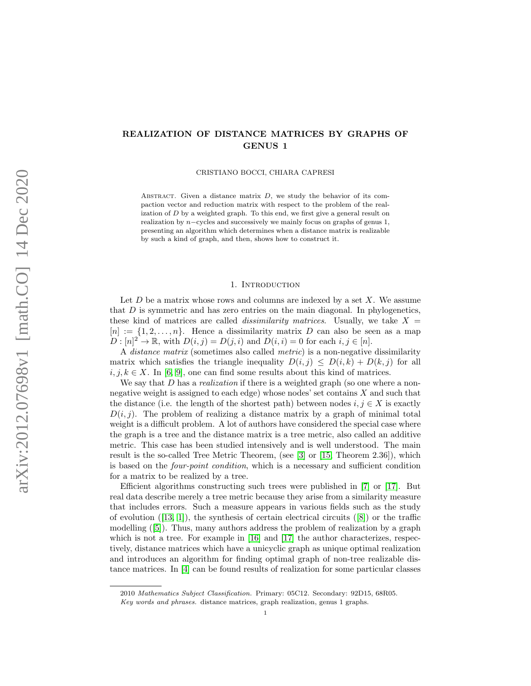## REALIZATION OF DISTANCE MATRICES BY GRAPHS OF GENUS 1

CRISTIANO BOCCI, CHIARA CAPRESI

ABSTRACT. Given a distance matrix  $D$ , we study the behavior of its compaction vector and reduction matrix with respect to the problem of the realization of D by a weighted graph. To this end, we first give a general result on realization by  $n$ -cycles and successively we mainly focus on graphs of genus 1, presenting an algorithm which determines when a distance matrix is realizable by such a kind of graph, and then, shows how to construct it.

## 1. INTRODUCTION

Let  $D$  be a matrix whose rows and columns are indexed by a set  $X$ . We assume that D is symmetric and has zero entries on the main diagonal. In phylogenetics, these kind of matrices are called *dissimilarity matrices*. Usually, we take  $X =$  $[n] := \{1, 2, \ldots, n\}.$  Hence a dissimilarity matrix D can also be seen as a map  $D: [n]^2 \to \mathbb{R}$ , with  $D(i, j) = D(j, i)$  and  $D(i, i) = 0$  for each  $i, j \in [n]$ .

A distance matrix (sometimes also called metric) is a non-negative dissimilarity matrix which satisfies the triangle inequality  $D(i, j) \leq D(i, k) + D(k, j)$  for all  $i, j, k \in X$ . In [\[6,](#page-21-0) [9\]](#page-21-1), one can find some results about this kind of matrices.

We say that  $D$  has a *realization* if there is a weighted graph (so one where a nonnegative weight is assigned to each edge) whose nodes' set contains X and such that the distance (i.e. the length of the shortest path) between nodes  $i, j \in X$  is exactly  $D(i, j)$ . The problem of realizing a distance matrix by a graph of minimal total weight is a difficult problem. A lot of authors have considered the special case where the graph is a tree and the distance matrix is a tree metric, also called an additive metric. This case has been studied intensively and is well understood. The main result is the so-called Tree Metric Theorem, (see [\[3\]](#page-21-2) or [\[15,](#page-21-3) Theorem 2.36]), which is based on the four-point condition, which is a necessary and sufficient condition for a matrix to be realized by a tree.

Efficient algorithms constructing such trees were published in [\[7\]](#page-21-4) or [\[17\]](#page-21-5). But real data describe merely a tree metric because they arise from a similarity measure that includes errors. Such a measure appears in various fields such as the study of evolution  $([13, 1])$  $([13, 1])$  $([13, 1])$  $([13, 1])$ , the synthesis of certain electrical circuits  $([8])$  $([8])$  $([8])$  or the traffic modelling ([\[5\]](#page-21-9)). Thus, many authors address the problem of realization by a graph which is not a tree. For example in  $[16]$  and  $[17]$  the author characterizes, respectively, distance matrices which have a unicyclic graph as unique optimal realization and introduces an algorithm for finding optimal graph of non-tree realizable distance matrices. In [\[4\]](#page-21-11) can be found results of realization for some particular classes

<sup>2010</sup> Mathematics Subject Classification. Primary: 05C12. Secondary: 92D15, 68R05.

Key words and phrases. distance matrices, graph realization, genus 1 graphs.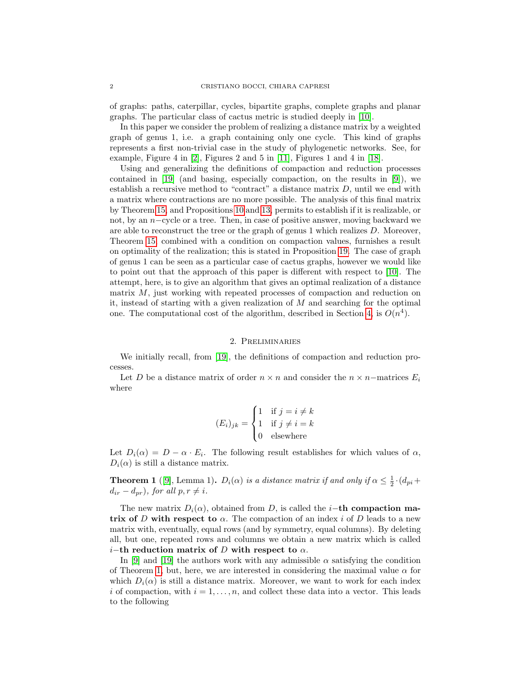of graphs: paths, caterpillar, cycles, bipartite graphs, complete graphs and planar graphs. The particular class of cactus metric is studied deeply in [\[10\]](#page-21-12).

In this paper we consider the problem of realizing a distance matrix by a weighted graph of genus 1, i.e. a graph containing only one cycle. This kind of graphs represents a first non-trivial case in the study of phylogenetic networks. See, for example, Figure 4 in [\[2\]](#page-21-13), Figures 2 and 5 in [\[11\]](#page-21-14), Figures 1 and 4 in [\[18\]](#page-21-15).

Using and generalizing the definitions of compaction and reduction processes contained in [\[19\]](#page-21-16) (and basing, especially compaction, on the results in [\[9\]](#page-21-1)), we establish a recursive method to "contract" a distance matrix  $D$ , until we end with a matrix where contractions are no more possible. The analysis of this final matrix by Theorem [15,](#page-7-0) and Propositions [10](#page-4-0) and [13,](#page-5-0) permits to establish if it is realizable, or not, by an n−cycle or a tree. Then, in case of positive answer, moving backward we are able to reconstruct the tree or the graph of genus 1 which realizes D. Moreover, Theorem [15,](#page-7-0) combined with a condition on compaction values, furnishes a result on optimality of the realization; this is stated in Proposition [19.](#page-9-0) The case of graph of genus 1 can be seen as a particular case of cactus graphs, however we would like to point out that the approach of this paper is different with respect to [\[10\]](#page-21-12). The attempt, here, is to give an algorithm that gives an optimal realization of a distance matrix  $M$ , just working with repeated processes of compaction and reduction on it, instead of starting with a given realization of M and searching for the optimal one. The computational cost of the algorithm, described in Section [4,](#page-10-0) is  $O(n^4)$ .

## 2. Preliminaries

We initially recall, from [\[19\]](#page-21-16), the definitions of compaction and reduction processes.

Let D be a distance matrix of order  $n \times n$  and consider the  $n \times n$ –matrices  $E_i$ where

$$
(E_i)_{jk} = \begin{cases} 1 & \text{if } j = i \neq k \\ 1 & \text{if } j \neq i = k \\ 0 & \text{elsewhere} \end{cases}
$$

Let  $D_i(\alpha) = D - \alpha \cdot E_i$ . The following result establishes for which values of  $\alpha$ ,  $D_i(\alpha)$  is still a distance matrix.

<span id="page-1-0"></span>**Theorem 1** ([\[9\]](#page-21-1), Lemma 1).  $D_i(\alpha)$  is a distance matrix if and only if  $\alpha \leq \frac{1}{2} \cdot (d_{pi} +$  $d_{ir} - d_{pr}$ , for all  $p, r \neq i$ .

The new matrix  $D_i(\alpha)$ , obtained from D, is called the *i*-th compaction matrix of D with respect to  $\alpha$ . The compaction of an index i of D leads to a new matrix with, eventually, equal rows (and by symmetry, equal columns). By deleting all, but one, repeated rows and columns we obtain a new matrix which is called *i*−th reduction matrix of D with respect to  $\alpha$ .

In [\[9\]](#page-21-1) and [\[19\]](#page-21-16) the authors work with any admissible  $\alpha$  satisfying the condition of Theorem [1,](#page-1-0) but, here, we are interested in considering the maximal value  $\alpha$  for which  $D_i(\alpha)$  is still a distance matrix. Moreover, we want to work for each index i of compaction, with  $i = 1, \ldots, n$ , and collect these data into a vector. This leads to the following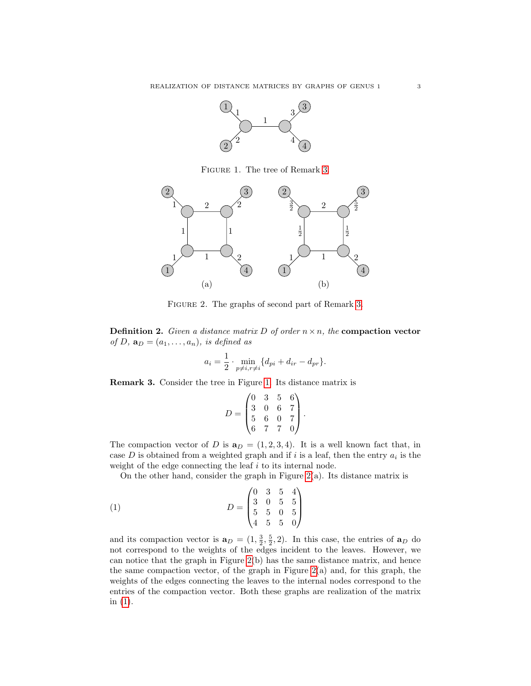

<span id="page-2-1"></span>Figure 1. The tree of Remark [3.](#page-2-0)



<span id="page-2-2"></span>FIGURE 2. The graphs of second part of Remark [3.](#page-2-0)

**Definition 2.** Given a distance matrix D of order  $n \times n$ , the **compaction vector** of D,  $\mathbf{a}_D = (a_1, \ldots, a_n)$ , is defined as

$$
a_i = \frac{1}{2} \cdot \min_{p \neq i, r \neq i} \{d_{pi} + d_{ir} - d_{pr}\}.
$$

<span id="page-2-0"></span>Remark 3. Consider the tree in Figure [1.](#page-2-1) Its distance matrix is

<span id="page-2-3"></span>
$$
D = \begin{pmatrix} 0 & 3 & 5 & 6 \\ 3 & 0 & 6 & 7 \\ 5 & 6 & 0 & 7 \\ 6 & 7 & 7 & 0 \end{pmatrix}.
$$

The compaction vector of D is  $a_D = (1, 2, 3, 4)$ . It is a well known fact that, in case  $D$  is obtained from a weighted graph and if i is a leaf, then the entry  $a_i$  is the weight of the edge connecting the leaf i to its internal node.

On the other hand, consider the graph in Figure  $2(a)$ . Its distance matrix is

(1) 
$$
D = \begin{pmatrix} 0 & 3 & 5 & 4 \\ 3 & 0 & 5 & 5 \\ 5 & 5 & 0 & 5 \\ 4 & 5 & 5 & 0 \end{pmatrix}
$$

and its compaction vector is  $\mathbf{a}_D = (1, \frac{3}{2}, \frac{5}{2}, 2)$ . In this case, the entries of  $\mathbf{a}_D$  do not correspond to the weights of the edges incident to the leaves. However, we can notice that the graph in Figure [2\(](#page-2-2)b) has the same distance matrix, and hence the same compaction vector, of the graph in Figure  $2(a)$  and, for this graph, the weights of the edges connecting the leaves to the internal nodes correspond to the entries of the compaction vector. Both these graphs are realization of the matrix in [\(1\)](#page-2-3).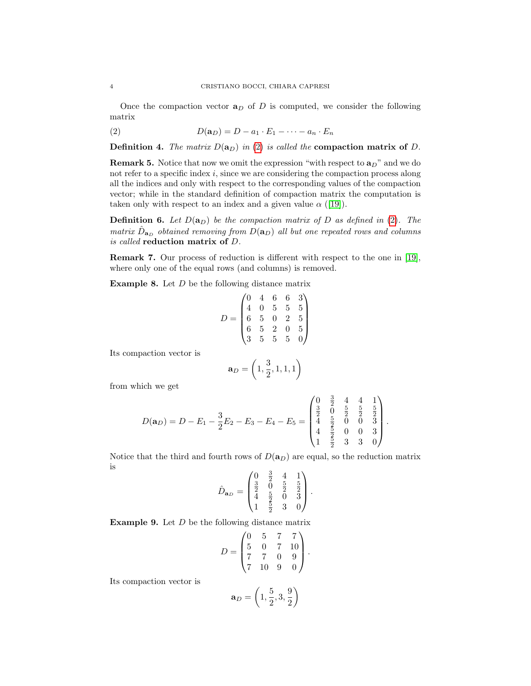Once the compaction vector  $a_D$  of D is computed, we consider the following matrix

<span id="page-3-0"></span>
$$
(2) \tD(\mathbf{a}_D) = D - a_1 \cdot E_1 - \dots - a_n \cdot E_n
$$

**Definition 4.** The matrix  $D(a_D)$  in [\(2\)](#page-3-0) is called the **compaction matrix of** D.

**Remark 5.** Notice that now we omit the expression "with respect to  $a_D$ " and we do not refer to a specific index  $i$ , since we are considering the compaction process along all the indices and only with respect to the corresponding values of the compaction vector; while in the standard definition of compaction matrix the computation is taken only with respect to an index and a given value  $\alpha$  ([\[19\]](#page-21-16)).

**Definition 6.** Let  $D(\mathbf{a}_D)$  be the compaction matrix of D as defined in [\(2\)](#page-3-0). The matrix  $\hat{D}_{{\bf a}_D}$  obtained removing from  $D({\bf a}_D)$  all but one repeated rows and columns is called reduction matrix of D.

Remark 7. Our process of reduction is different with respect to the one in [\[19\]](#page-21-16), where only one of the equal rows (and columns) is removed.

**Example 8.** Let  $D$  be the following distance matrix

$$
D = \begin{pmatrix} 0 & 4 & 6 & 6 & 3 \\ 4 & 0 & 5 & 5 & 5 \\ 6 & 5 & 0 & 2 & 5 \\ 6 & 5 & 2 & 0 & 5 \\ 3 & 5 & 5 & 5 & 0 \end{pmatrix}
$$

Its compaction vector is

$$
\mathbf{a}_D = \left(1, \frac{3}{2}, 1, 1, 1\right)
$$

from which we get

$$
D(\mathbf{a}_D) = D - E_1 - \frac{3}{2}E_2 - E_3 - E_4 - E_5 = \begin{pmatrix} 0 & \frac{3}{2} & 4 & 4 & 1 \\ \frac{3}{2} & 0 & \frac{5}{2} & \frac{5}{2} & \frac{5}{2} \\ 4 & \frac{5}{2} & 0 & 0 & 3 \\ 4 & \frac{5}{2} & 0 & 0 & 3 \\ 1 & \frac{5}{2} & 3 & 3 & 0 \end{pmatrix}.
$$

Notice that the third and fourth rows of  $D(\mathbf{a}_D)$  are equal, so the reduction matrix is  $\overline{3}$ 

$$
\hat{D}_{\mathbf{a}_D} = \begin{pmatrix} 0 & \frac{3}{2} & 4 & 1 \\ \frac{3}{2} & 0 & \frac{5}{2} & \frac{5}{2} \\ 4 & \frac{5}{2} & 0 & 3 \\ 1 & \frac{5}{2} & 3 & 0 \end{pmatrix}.
$$

**Example 9.** Let  $D$  be the following distance matrix

$$
D = \begin{pmatrix} 0 & 5 & 7 & 7 \\ 5 & 0 & 7 & 10 \\ 7 & 7 & 0 & 9 \\ 7 & 10 & 9 & 0 \end{pmatrix}.
$$

Its compaction vector is

$$
\mathbf{a}_D = \left(1,\frac{5}{2},3,\frac{9}{2}\right)
$$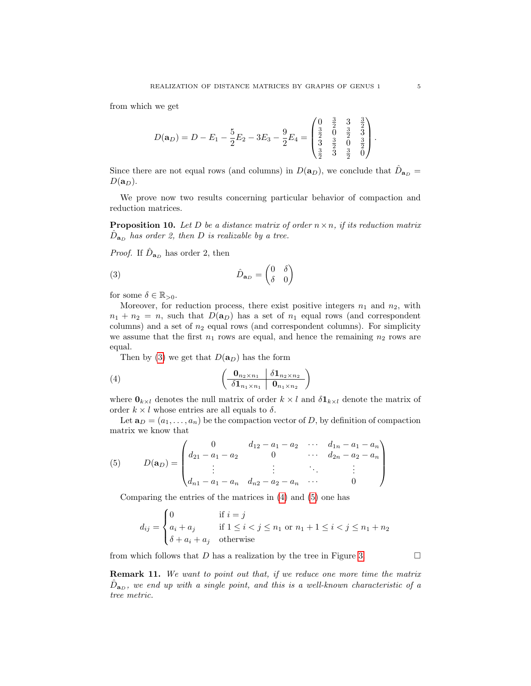from which we get

$$
D(\mathbf{a}_D) = D - E_1 - \frac{5}{2}E_2 - 3E_3 - \frac{9}{2}E_4 = \begin{pmatrix} 0 & \frac{3}{2} & 3 & \frac{3}{2} \\ \frac{3}{2} & 0 & \frac{3}{2} & \frac{3}{2} \\ \frac{3}{2} & \frac{3}{2} & 0 & \frac{3}{2} \\ \frac{3}{2} & 3 & \frac{3}{2} & 0 \end{pmatrix}.
$$

Since there are not equal rows (and columns) in  $D(\mathbf{a}_D)$ , we conclude that  $\hat{D}_{\mathbf{a}_D} =$  $D(\mathbf{a}_D)$ .

We prove now two results concerning particular behavior of compaction and reduction matrices.

<span id="page-4-0"></span>**Proposition 10.** Let D be a distance matrix of order  $n \times n$ , if its reduction matrix  $\hat{D}_{{\bf a}_D}$  has order 2, then D is realizable by a tree.

*Proof.* If  $\hat{D}_{\mathbf{a}_D}$  has order 2, then

<span id="page-4-1"></span>(3) 
$$
\hat{D}_{\mathbf{a}_D} = \begin{pmatrix} 0 & \delta \\ \delta & 0 \end{pmatrix}
$$

for some  $\delta \in \mathbb{R}_{>0}$ .

Moreover, for reduction process, there exist positive integers  $n_1$  and  $n_2$ , with  $n_1 + n_2 = n$ , such that  $D(\mathbf{a}_D)$  has a set of  $n_1$  equal rows (and correspondent columns) and a set of  $n_2$  equal rows (and correspondent columns). For simplicity we assume that the first  $n_1$  rows are equal, and hence the remaining  $n_2$  rows are equal.

<span id="page-4-2"></span>Then by [\(3\)](#page-4-1) we get that  $D(\mathbf{a}_D)$  has the form

$$
(4) \qquad \qquad \left(\begin{array}{c|c}\n\mathbf{0}_{n_2 \times n_1} & \delta \mathbf{1}_{n_2 \times n_2} \\
\hline\n\delta \mathbf{1}_{n_1 \times n_1} & \mathbf{0}_{n_1 \times n_2}\n\end{array}\right)
$$

where  $\mathbf{0}_{k\times l}$  denotes the null matrix of order  $k \times l$  and  $\delta \mathbf{1}_{k\times l}$  denote the matrix of order  $k \times l$  whose entries are all equals to  $\delta$ .

Let  $\mathbf{a}_D = (a_1, \ldots, a_n)$  be the compaction vector of D, by definition of compaction matrix we know that

<span id="page-4-3"></span>(5) 
$$
D(\mathbf{a}_D) = \begin{pmatrix} 0 & d_{12} - a_1 - a_2 & \cdots & d_{1n} - a_1 - a_n \\ d_{21} - a_1 - a_2 & 0 & \cdots & d_{2n} - a_2 - a_n \\ \vdots & \vdots & \ddots & \vdots \\ d_{n1} - a_1 - a_n & d_{n2} - a_2 - a_n & \cdots & 0 \end{pmatrix}
$$

Comparing the entries of the matrices in [\(4\)](#page-4-2) and [\(5\)](#page-4-3) one has

$$
d_{ij} = \begin{cases} 0 & \text{if } i = j \\ a_i + a_j & \text{if } 1 \le i < j \le n_1 \text{ or } n_1 + 1 \le i < j \le n_1 + n_2 \\ \delta + a_i + a_j & \text{otherwise} \end{cases}
$$

from which follows that D has a realization by the tree in Figure [3.](#page-5-1)

Remark 11. We want to point out that, if we reduce one more time the matrix  $\hat{D}_{{\bf a}_D}$ , we end up with a single point, and this is a well-known characteristic of a tree metric.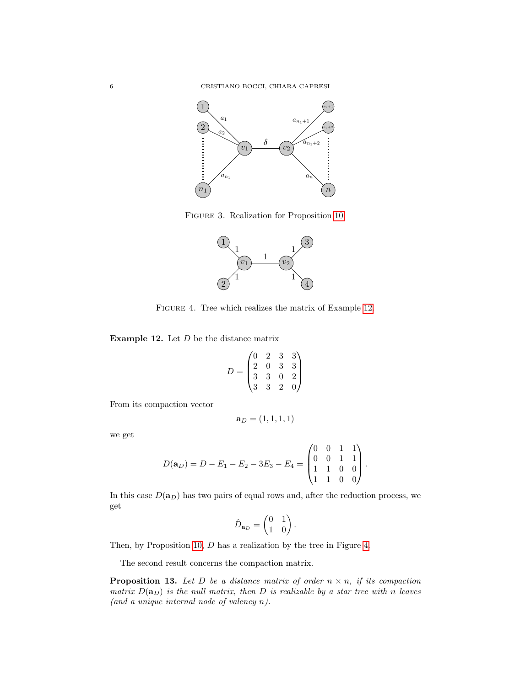

Figure 3. Realization for Proposition [10.](#page-4-0)

<span id="page-5-1"></span>

<span id="page-5-3"></span>FIGURE 4. Tree which realizes the matrix of Example [12.](#page-5-2)

<span id="page-5-2"></span>**Example 12.** Let  $D$  be the distance matrix

$$
D = \begin{pmatrix} 0 & 2 & 3 & 3 \\ 2 & 0 & 3 & 3 \\ 3 & 3 & 0 & 2 \\ 3 & 3 & 2 & 0 \end{pmatrix}
$$

From its compaction vector

$$
\mathbf{a}_D=(1,1,1,1)
$$

we get

$$
D(\mathbf{a}_D) = D - E_1 - E_2 - 3E_3 - E_4 = \begin{pmatrix} 0 & 0 & 1 & 1 \\ 0 & 0 & 1 & 1 \\ 1 & 1 & 0 & 0 \\ 1 & 1 & 0 & 0 \end{pmatrix}.
$$

In this case  $D(\mathbf{a}_D)$  has two pairs of equal rows and, after the reduction process, we get

$$
\hat{D}_{\mathbf{a}_D} = \begin{pmatrix} 0 & 1 \\ 1 & 0 \end{pmatrix}.
$$

Then, by Proposition [10,](#page-4-0) D has a realization by the tree in Figure [4.](#page-5-3)

The second result concerns the compaction matrix.

<span id="page-5-0"></span>**Proposition 13.** Let D be a distance matrix of order  $n \times n$ , if its compaction matrix  $D(\mathbf{a}_D)$  is the null matrix, then D is realizable by a star tree with n leaves (and a unique internal node of valency n).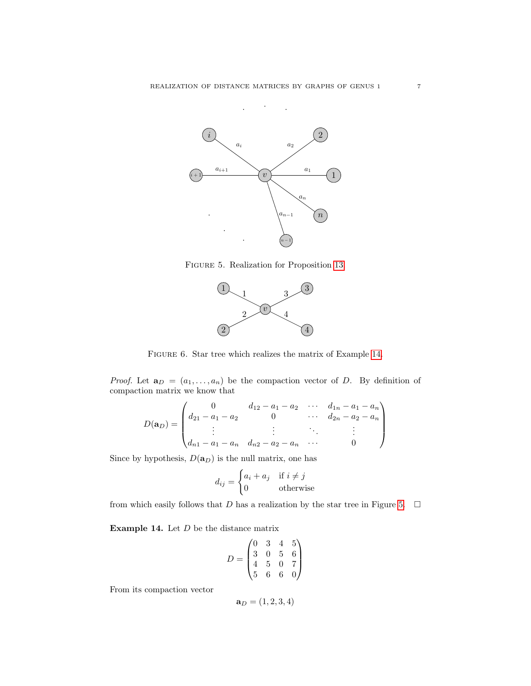

Figure 5. Realization for Proposition [13.](#page-5-0)

<span id="page-6-1"></span>

<span id="page-6-2"></span>Figure 6. Star tree which realizes the matrix of Example [14.](#page-6-0)

*Proof.* Let  $\mathbf{a}_D = (a_1, \ldots, a_n)$  be the compaction vector of D. By definition of compaction matrix we know that

$$
D(\mathbf{a}_D) = \begin{pmatrix} 0 & d_{12} - a_1 - a_2 & \cdots & d_{1n} - a_1 - a_n \\ d_{21} - a_1 - a_2 & 0 & \cdots & d_{2n} - a_2 - a_n \\ \vdots & \vdots & \ddots & \vdots \\ d_{n1} - a_1 - a_n & d_{n2} - a_2 - a_n & \cdots & 0 \end{pmatrix}
$$

Since by hypothesis,  $D(\mathbf{a}_D)$  is the null matrix, one has

$$
d_{ij} = \begin{cases} a_i + a_j & \text{if } i \neq j \\ 0 & \text{otherwise} \end{cases}
$$

from which easily follows that D has a realization by the star tree in Figure [5.](#page-6-1)  $\Box$ 

<span id="page-6-0"></span>**Example 14.** Let  $D$  be the distance matrix

$$
D = \begin{pmatrix} 0 & 3 & 4 & 5 \\ 3 & 0 & 5 & 6 \\ 4 & 5 & 0 & 7 \\ 5 & 6 & 6 & 0 \end{pmatrix}
$$

From its compaction vector

$$
\mathbf{a}_D=(1,2,3,4)
$$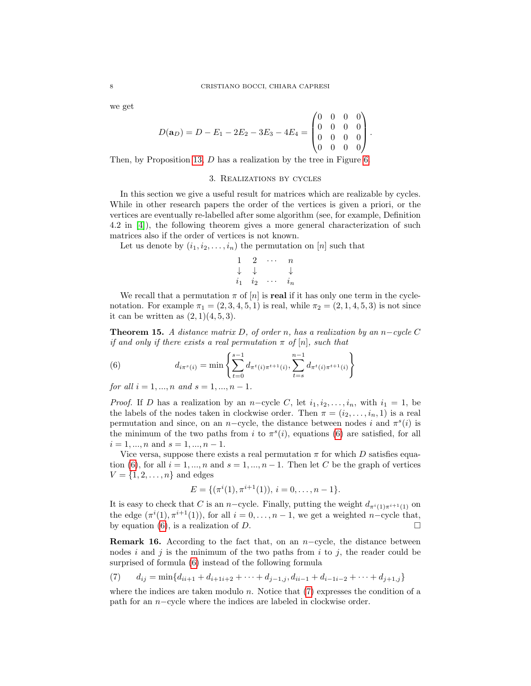we get

$$
D(\mathbf{a}_D) = D - E_1 - 2E_2 - 3E_3 - 4E_4 = \begin{pmatrix} 0 & 0 & 0 & 0 \\ 0 & 0 & 0 & 0 \\ 0 & 0 & 0 & 0 \\ 0 & 0 & 0 & 0 \end{pmatrix}.
$$

Then, by Proposition [13,](#page-5-0) D has a realization by the tree in Figure [6.](#page-6-2)

## 3. Realizations by cycles

In this section we give a useful result for matrices which are realizable by cycles. While in other research papers the order of the vertices is given a priori, or the vertices are eventually re-labelled after some algorithm (see, for example, Definition 4.2 in [\[4\]](#page-21-11)), the following theorem gives a more general characterization of such matrices also if the order of vertices is not known.

Let us denote by  $(i_1, i_2, \ldots, i_n)$  the permutation on [n] such that

$$
\begin{array}{ccccc}\n1 & 2 & \cdots & n \\
\downarrow & \downarrow & & \downarrow \\
i_1 & i_2 & \cdots & i_n\n\end{array}
$$

We recall that a permutation  $\pi$  of  $[n]$  is **real** if it has only one term in the cyclenotation. For example  $\pi_1 = (2, 3, 4, 5, 1)$  is real, while  $\pi_2 = (2, 1, 4, 5, 3)$  is not since it can be written as  $(2, 1)(4, 5, 3)$ .

<span id="page-7-0"></span>**Theorem 15.** A distance matrix D, of order n, has a realization by an n–cycle C if and only if there exists a real permutation  $\pi$  of  $[n]$ , such that

<span id="page-7-1"></span>(6) 
$$
d_{i\pi^{s}(i)} = \min \left\{ \sum_{t=0}^{s-1} d_{\pi^{t}(i)\pi^{t+1}(i)}, \sum_{t=s}^{n-1} d_{\pi^{t}(i)\pi^{t+1}(i)} \right\}
$$

for all  $i = 1, ..., n$  and  $s = 1, ..., n - 1$ .

*Proof.* If D has a realization by an n-cycle C, let  $i_1, i_2, \ldots, i_n$ , with  $i_1 = 1$ , be the labels of the nodes taken in clockwise order. Then  $\pi = (i_2, \ldots, i_n, 1)$  is a real permutation and since, on an n-cycle, the distance between nodes i and  $\pi^{s}(i)$  is the minimum of the two paths from i to  $\pi^{s}(i)$ , equations [\(6\)](#page-7-1) are satisfied, for all  $i = 1, ..., n$  and  $s = 1, ..., n - 1$ .

Vice versa, suppose there exists a real permutation  $\pi$  for which D satisfies equa-tion [\(6\)](#page-7-1), for all  $i = 1, ..., n$  and  $s = 1, ..., n - 1$ . Then let C be the graph of vertices  $V = \{1, 2, \ldots, n\}$  and edges

$$
E = \{ (\pi^i(1), \pi^{i+1}(1)), i = 0, \dots, n-1 \}.
$$

It is easy to check that C is an n-cycle. Finally, putting the weight  $d_{\pi^{i}(1)\pi^{i+1}(1)}$  on the edge  $(\pi^{i}(1), \pi^{i+1}(1))$ , for all  $i = 0, \ldots, n-1$ , we get a weighted n-cycle that, by equation [\(6\)](#page-7-1), is a realization of D.

<span id="page-7-3"></span>**Remark 16.** According to the fact that, on an  $n$ -cycle, the distance between nodes i and j is the minimum of the two paths from i to j, the reader could be surprised of formula [\(6\)](#page-7-1) instead of the following formula

<span id="page-7-2"></span>(7) 
$$
d_{ij} = \min\{d_{ii+1} + d_{i+1} + 2 + \cdots + d_{j-1,j}, d_{ii-1} + d_{i-1} + \cdots + d_{j+1,j}\}
$$

where the indices are taken modulo  $n$ . Notice that  $(7)$  expresses the condition of a path for an n−cycle where the indices are labeled in clockwise order.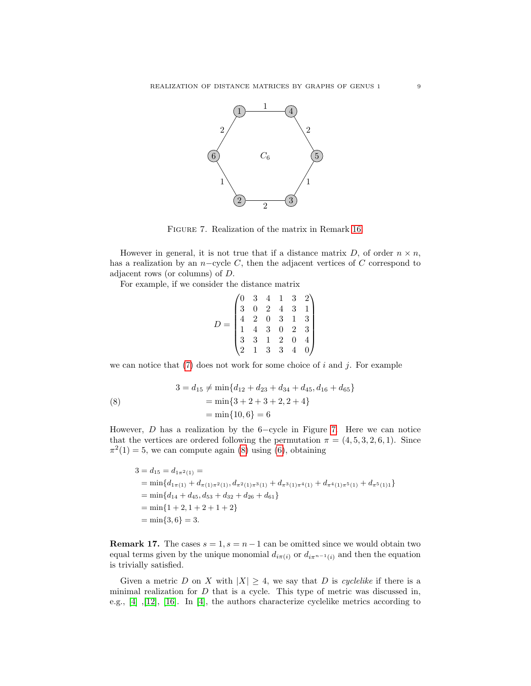

<span id="page-8-0"></span>Figure 7. Realization of the matrix in Remark [16.](#page-7-3)

However in general, it is not true that if a distance matrix D, of order  $n \times n$ , has a realization by an  $n$ -cycle C, then the adjacent vertices of C correspond to adjacent rows (or columns) of D.

For example, if we consider the distance matrix

$$
D = \begin{pmatrix} 0 & 3 & 4 & 1 & 3 & 2 \\ 3 & 0 & 2 & 4 & 3 & 1 \\ 4 & 2 & 0 & 3 & 1 & 3 \\ 1 & 4 & 3 & 0 & 2 & 3 \\ 3 & 3 & 1 & 2 & 0 & 4 \\ 2 & 1 & 3 & 3 & 4 & 0 \end{pmatrix}
$$

we can notice that  $(7)$  does not work for some choice of i and j. For example

<span id="page-8-1"></span>(8) 
$$
3 = d_{15} \neq \min\{d_{12} + d_{23} + d_{34} + d_{45}, d_{16} + d_{65}\}\
$$

$$
= \min\{3 + 2 + 3 + 2, 2 + 4\}
$$

$$
= \min\{10, 6\} = 6
$$

However,  $D$  has a realization by the 6-cycle in Figure [7.](#page-8-0) Here we can notice that the vertices are ordered following the permutation  $\pi = (4, 5, 3, 2, 6, 1)$ . Since  $\pi^2(1) = 5$ , we can compute again [\(8\)](#page-8-1) using [\(6\)](#page-7-1), obtaining

$$
3 = d_{15} = d_{1\pi^2(1)} =
$$
  
= min{ $d_{1\pi(1)} + d_{\pi(1)\pi^2(1)}, d_{\pi^2(1)\pi^3(1)} + d_{\pi^3(1)\pi^4(1)} + d_{\pi^4(1)\pi^5(1)} + d_{\pi^5(1)1}$ }  
= min{ $d_{14} + d_{45}, d_{53} + d_{32} + d_{26} + d_{61}$ }  
= min{1 + 2, 1 + 2 + 1 + 2}  
= min{3, 6} = 3.

**Remark 17.** The cases  $s = 1$ ,  $s = n - 1$  can be omitted since we would obtain two equal terms given by the unique monomial  $d_{i\pi(i)}$  or  $d_{i\pi^{n-1}(i)}$  and then the equation is trivially satisfied.

Given a metric D on X with  $|X| \geq 4$ , we say that D is cyclelike if there is a minimal realization for  $D$  that is a cycle. This type of metric was discussed in, e.g.,  $[4]$ ,  $[12]$ ,  $[16]$ . In  $[4]$ , the authors characterize cyclelike metrics according to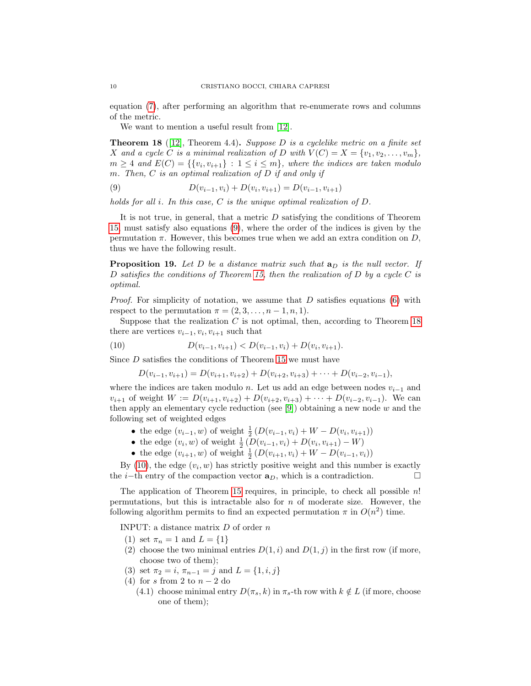equation [\(7\)](#page-7-2), after performing an algorithm that re-enumerate rows and columns of the metric.

We want to mention a useful result from [\[12\]](#page-21-17).

<span id="page-9-2"></span>**Theorem 18** ([\[12\]](#page-21-17), Theorem 4.4). Suppose D is a cyclelike metric on a finite set X and a cycle C is a minimal realization of D with  $V(C) = X = \{v_1, v_2, \ldots, v_m\},\$  $m \geq 4$  and  $E(C) = \{ \{v_i, v_{i+1}\} : 1 \leq i \leq m \}$ , where the indices are taken modulo m. Then,  $C$  is an optimal realization of  $D$  if and only if

<span id="page-9-1"></span>(9) 
$$
D(v_{i-1}, v_i) + D(v_i, v_{i+1}) = D(v_{i-1}, v_{i+1})
$$

holds for all i. In this case, C is the unique optimal realization of D.

It is not true, in general, that a metric D satisfying the conditions of Theorem [15,](#page-7-0) must satisfy also equations [\(9\)](#page-9-1), where the order of the indices is given by the permutation  $\pi$ . However, this becomes true when we add an extra condition on  $D$ , thus we have the following result.

<span id="page-9-0"></span>**Proposition 19.** Let D be a distance matrix such that  $a_D$  is the null vector. If D satisfies the conditions of Theorem [15,](#page-7-0) then the realization of D by a cycle C is optimal.

*Proof.* For simplicity of notation, we assume that  $D$  satisfies equations [\(6\)](#page-7-1) with respect to the permutation  $\pi = (2, 3, \ldots, n-1, n, 1).$ 

Suppose that the realization  $C$  is not optimal, then, according to Theorem [18](#page-9-2) there are vertices  $v_{i-1}, v_i, v_{i+1}$  such that

(10) 
$$
D(v_{i-1}, v_{i+1}) < D(v_{i-1}, v_i) + D(v_i, v_{i+1}).
$$

Since D satisfies the conditions of Theorem [15](#page-7-0) we must have

<span id="page-9-3"></span>
$$
D(v_{i-1}, v_{i+1}) = D(v_{i+1}, v_{i+2}) + D(v_{i+2}, v_{i+3}) + \cdots + D(v_{i-2}, v_{i-1}),
$$

where the indices are taken modulo n. Let us add an edge between nodes  $v_{i-1}$  and  $v_{i+1}$  of weight  $W := D(v_{i+1}, v_{i+2}) + D(v_{i+2}, v_{i+3}) + \cdots + D(v_{i-2}, v_{i-1})$ . We can then apply an elementary cycle reduction (see  $[9]$ ) obtaining a new node w and the following set of weighted edges

- the edge  $(v_{i-1}, w)$  of weight  $\frac{1}{2} (D(v_{i-1}, v_i) + W D(v_i, v_{i+1}))$
- the edge  $(v_i, w)$  of weight  $\frac{1}{2} (D(v_{i-1}, v_i) + D(v_i, v_{i+1}) W)$
- the edge  $(v_{i+1}, w)$  of weight  $\frac{1}{2} (D(v_{i+1}, v_i) + W D(v_{i-1}, v_i))$

By  $(10)$ , the edge  $(v_i, w)$  has strictly positive weight and this number is exactly the *i*−th entry of the compaction vector  $\mathbf{a}_D$ , which is a contradiction.  $\Box$ 

The application of Theorem [15](#page-7-0) requires, in principle, to check all possible n! permutations, but this is intractable also for  $n$  of moderate size. However, the following algorithm permits to find an expected permutation  $\pi$  in  $O(n^2)$  time.

INPUT: a distance matrix  $D$  of order  $n$ 

- (1) set  $\pi_n = 1$  and  $L = \{1\}$
- (2) choose the two minimal entries  $D(1, i)$  and  $D(1, j)$  in the first row (if more, choose two of them);
- (3) set  $\pi_2 = i$ ,  $\pi_{n-1} = j$  and  $L = \{1, i, j\}$
- (4) for s from 2 to  $n-2$  do
	- (4.1) choose minimal entry  $D(\pi_s, k)$  in  $\pi_s$ -th row with  $k \notin L$  (if more, choose one of them);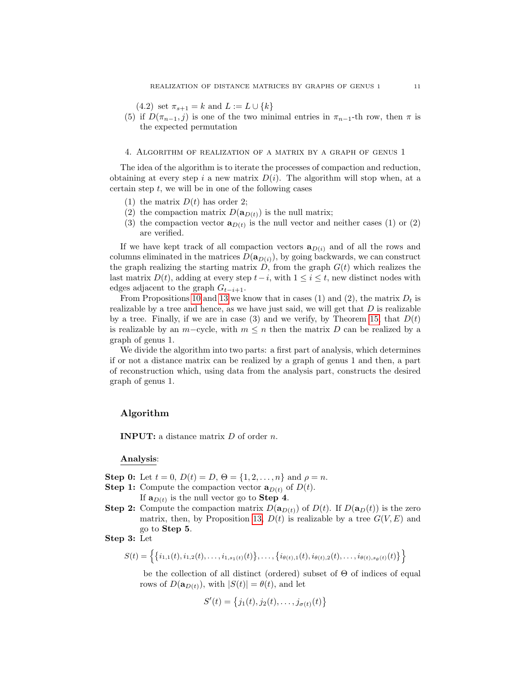(4.2) set  $\pi_{s+1} = k$  and  $L := L \cup \{k\}$ 

(5) if  $D(\pi_{n-1}, j)$  is one of the two minimal entries in  $\pi_{n-1}$ -th row, then  $\pi$  is the expected permutation

### <span id="page-10-0"></span>4. Algorithm of realization of a matrix by a graph of genus 1

The idea of the algorithm is to iterate the processes of compaction and reduction, obtaining at every step i a new matrix  $D(i)$ . The algorithm will stop when, at a certain step  $t$ , we will be in one of the following cases

- (1) the matrix  $D(t)$  has order 2;
- (2) the compaction matrix  $D(\mathbf{a}_{D(t)})$  is the null matrix;
- (3) the compaction vector  $\mathbf{a}_{D(t)}$  is the null vector and neither cases (1) or (2) are verified.

If we have kept track of all compaction vectors  $\mathbf{a}_{D(i)}$  and of all the rows and columns eliminated in the matrices  $D(\mathbf{a}_{D(i)})$ , by going backwards, we can construct the graph realizing the starting matrix  $D$ , from the graph  $G(t)$  which realizes the last matrix  $D(t)$ , adding at every step  $t-i$ , with  $1 \leq i \leq t$ , new distinct nodes with edges adjacent to the graph  $G_{t-i+1}$ .

From Propositions [10](#page-4-0) and [13](#page-5-0) we know that in cases (1) and (2), the matrix  $D_t$  is realizable by a tree and hence, as we have just said, we will get that  $D$  is realizable by a tree. Finally, if we are in case (3) and we verify, by Theorem [15,](#page-7-0) that  $D(t)$ is realizable by an  $m$ -cycle, with  $m \leq n$  then the matrix D can be realized by a graph of genus 1.

We divide the algorithm into two parts: a first part of analysis, which determines if or not a distance matrix can be realized by a graph of genus 1 and then, a part of reconstruction which, using data from the analysis part, constructs the desired graph of genus 1.

## Algorithm

INPUT: a distance matrix D of order n.

### Analysis:

**Step 0:** Let  $t = 0$ ,  $D(t) = D$ ,  $\Theta = \{1, 2, ..., n\}$  and  $\rho = n$ .

- **Step 1:** Compute the compaction vector  $\mathbf{a}_{D(t)}$  of  $D(t)$ . If  $\mathbf{a}_{D(t)}$  is the null vector go to **Step 4**.
- **Step 2:** Compute the compaction matrix  $D(\mathbf{a}_{D(t)})$  of  $D(t)$ . If  $D(\mathbf{a}_D(t))$  is the zero matrix, then, by Proposition [13,](#page-5-0)  $D(t)$  is realizable by a tree  $G(V, E)$  and go to Step 5.

# Step 3: Let

$$
S(t) = \left\{ \{i_{1,1}(t), i_{1,2}(t), \ldots, i_{1,s_1(t)}(t)\}, \ldots, \{i_{\theta(t),1}(t), i_{\theta(t),2}(t), \ldots, i_{\theta(t),s_{\theta}(t)}(t)\} \right\}
$$

be the collection of all distinct (ordered) subset of  $\Theta$  of indices of equal rows of  $D(\mathbf{a}_{D(t)})$ , with  $|S(t)| = \theta(t)$ , and let

$$
S'(t) = \{j_1(t), j_2(t), \dots, j_{\sigma(t)}(t)\}
$$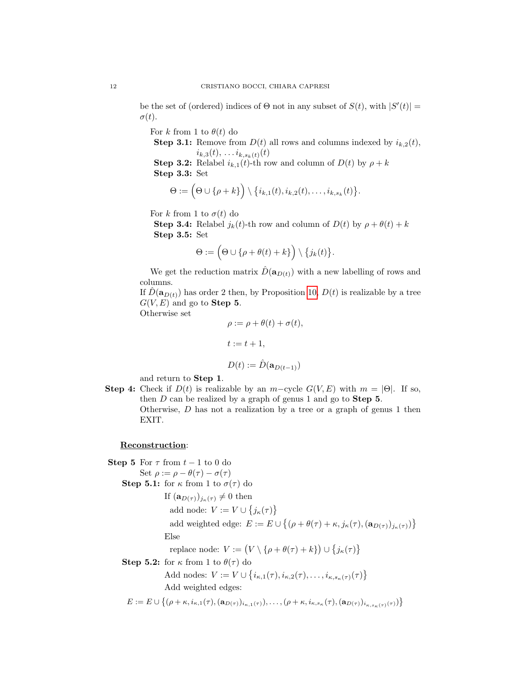be the set of (ordered) indices of  $\Theta$  not in any subset of  $S(t)$ , with  $|S'(t)| =$  $\sigma(t)$ .

For k from 1 to  $\theta(t)$  do

**Step 3.1:** Remove from  $D(t)$  all rows and columns indexed by  $i_{k,2}(t)$ ,  $i_{k,3}(t), \ldots i_{k,s_k(t)}(t)$ 

**Step 3.2:** Relabel  $i_{k,1}(t)$ -th row and column of  $D(t)$  by  $\rho + k$ Step 3.3: Set

$$
\Theta := \left(\Theta \cup \{\rho + k\}\right) \setminus \{i_{k,1}(t), i_{k,2}(t), \ldots, i_{k,s_k}(t)\}.
$$

For k from 1 to  $\sigma(t)$  do

**Step 3.4:** Relabel  $j_k(t)$ -th row and column of  $D(t)$  by  $\rho + \theta(t) + k$ Step 3.5: Set

$$
\Theta := \Big(\Theta \cup \{\rho + \theta(t) + k\}\Big) \setminus \{j_k(t)\}.
$$

We get the reduction matrix  $\hat{D}(\mathbf{a}_{D(t)})$  with a new labelling of rows and columns.

If  $D(\mathbf{a}_{D(t)})$  has order 2 then, by Proposition [10,](#page-4-0)  $D(t)$  is realizable by a tree  $G(V, E)$  and go to **Step 5**.

Otherwise set

$$
\rho := \rho + \theta(t) + \sigma(t),
$$
  

$$
t := t + 1,
$$
  

$$
D(t) := \hat{D}(\mathbf{a}_{D(t-1)})
$$

and return to Step 1.

Step 4: Check if  $D(t)$  is realizable by an m−cycle  $G(V, E)$  with  $m = |\Theta|$ . If so, then  $D$  can be realized by a graph of genus 1 and go to **Step 5**. Otherwise, D has not a realization by a tree or a graph of genus 1 then EXIT.

## Reconstruction:

Step 5 For  $\tau$  from  $t-1$  to 0 do Set  $\rho := \rho - \theta(\tau) - \sigma(\tau)$ Step 5.1: for  $\kappa$  from 1 to  $\sigma(\tau)$  do If  $(\mathbf{a}_{D(\tau)})_{j_{\kappa}(\tau)} \neq 0$  then add node:  $V := V \cup \{j_{\kappa}(\tau)\}\$ add weighted edge:  $E := E \cup \{(\rho + \theta(\tau) + \kappa, j_{\kappa}(\tau), (\mathbf{a}_{D(\tau)})_{j_{\kappa}(\tau)})\}$ Else replace node:  $V := (V \setminus {\rho + \theta(\tau) + k}) \cup {j_{\kappa}(\tau)}$ Step 5.2: for  $\kappa$  from 1 to  $\theta(\tau)$  do Add nodes:  $V := V \cup \{i_{\kappa,1}(\tau), i_{\kappa,2}(\tau), \ldots, i_{\kappa,s_{\kappa}(\tau)}(\tau)\}\$ Add weighted edges:  $E := E \cup \{(\rho + \kappa, i_{\kappa,1}(\tau), (a_{D(\tau)})_{i_{\kappa,1}(\tau)}), \ldots, (\rho + \kappa, i_{\kappa,s_{\kappa}}(\tau), (a_{D(\tau)})_{i_{\kappa,s_{\kappa}(\tau)}(\tau)})\}$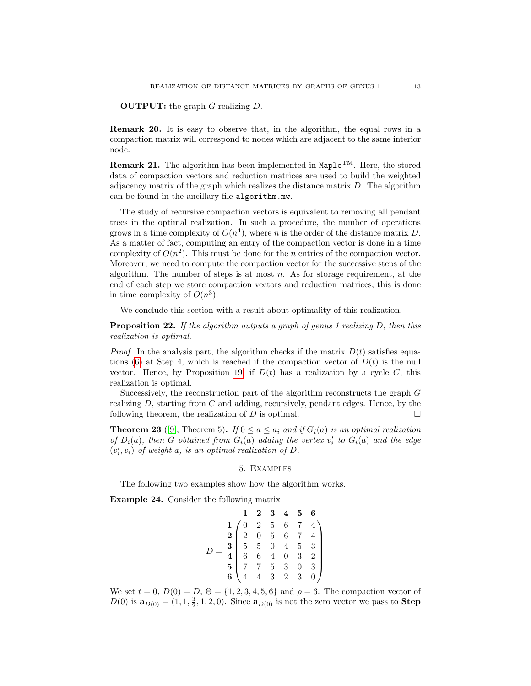**OUTPUT:** the graph  $G$  realizing  $D$ .

Remark 20. It is easy to observe that, in the algorithm, the equal rows in a compaction matrix will correspond to nodes which are adjacent to the same interior node.

**Remark 21.** The algorithm has been implemented in  $\text{Maple}^{TM}$ . Here, the stored data of compaction vectors and reduction matrices are used to build the weighted adjacency matrix of the graph which realizes the distance matrix  $D$ . The algorithm can be found in the ancillary file algorithm.mw.

The study of recursive compaction vectors is equivalent to removing all pendant trees in the optimal realization. In such a procedure, the number of operations grows in a time complexity of  $O(n^4)$ , where n is the order of the distance matrix D. As a matter of fact, computing an entry of the compaction vector is done in a time complexity of  $O(n^2)$ . This must be done for the *n* entries of the compaction vector. Moreover, we need to compute the compaction vector for the successive steps of the algorithm. The number of steps is at most  $n$ . As for storage requirement, at the end of each step we store compaction vectors and reduction matrices, this is done in time complexity of  $O(n^3)$ .

We conclude this section with a result about optimality of this realization.

**Proposition 22.** If the algorithm outputs a graph of genus 1 realizing D, then this realization is optimal.

*Proof.* In the analysis part, the algorithm checks if the matrix  $D(t)$  satisfies equa-tions [\(6\)](#page-7-1) at Step 4, which is reached if the compaction vector of  $D(t)$  is the null vector. Hence, by Proposition [19,](#page-9-0) if  $D(t)$  has a realization by a cycle C, this realization is optimal.

Successively, the reconstruction part of the algorithm reconstructs the graph G realizing  $D$ , starting from  $C$  and adding, recursively, pendant edges. Hence, by the following theorem, the realization of  $D$  is optimal.

**Theorem 23** ([\[9\]](#page-21-1), Theorem 5). If  $0 \le a \le a_i$  and if  $G_i(a)$  is an optimal realization of  $D_i(a)$ , then G obtained from  $G_i(a)$  adding the vertex  $v'_i$  to  $G_i(a)$  and the edge  $(v'_i, v_i)$  of weight a, is an optimal realization of  $D$ .

### 5. Examples

The following two examples show how the algorithm works.

<span id="page-12-0"></span>Example 24. Consider the following matrix

$$
D = \begin{pmatrix}\n1 & 2 & 3 & 4 & 5 & 6 \\
1 & 0 & 2 & 5 & 6 & 7 & 4 \\
2 & 0 & 5 & 6 & 7 & 4 \\
5 & 5 & 0 & 4 & 5 & 3 \\
6 & 6 & 4 & 0 & 3 & 2 \\
5 & 7 & 7 & 5 & 3 & 0 & 3 \\
6 & 4 & 4 & 3 & 2 & 3 & 0\n\end{pmatrix}
$$

We set  $t = 0$ ,  $D(0) = D$ ,  $\Theta = \{1, 2, 3, 4, 5, 6\}$  and  $\rho = 6$ . The compaction vector of  $D(0)$  is  $\mathbf{a}_{D(0)} = (1, 1, \frac{3}{2}, 1, 2, 0)$ . Since  $\mathbf{a}_{D(0)}$  is not the zero vector we pass to **Step**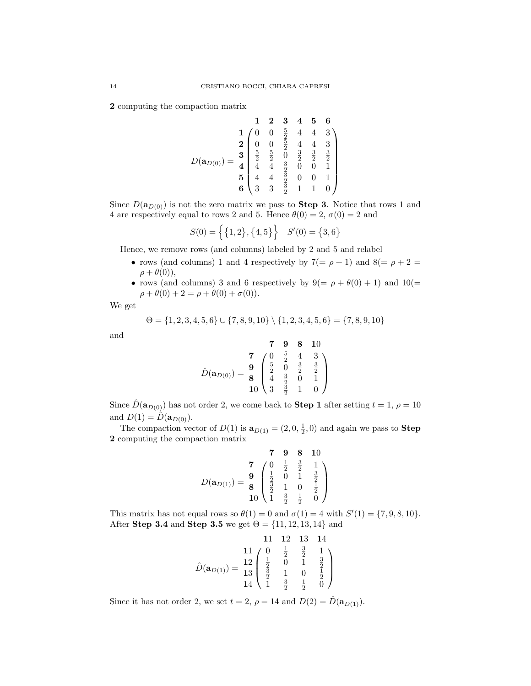2 computing the compaction matrix

$$
D(\mathbf{a}_{D(0)}) = \begin{array}{c c c c c c c c} & 1 & 2 & 3 & 4 & 5 & 6 \\ 1 & 0 & 0 & \frac{5}{2} & 4 & 4 & 3 \\ 2 & 0 & 0 & \frac{5}{2} & 4 & 4 & 3 \\ \frac{5}{2} & \frac{5}{2} & 0 & \frac{3}{2} & \frac{3}{2} & \frac{3}{2} \\ 4 & 4 & \frac{3}{2} & 0 & 0 & 1 \\ 5 & 4 & 4 & \frac{3}{2} & 0 & 0 & 1 \\ 6 & 3 & 3 & \frac{3}{2} & 1 & 1 & 0 \end{array}
$$

Since  $D(\mathbf{a}_{D(0)})$  is not the zero matrix we pass to **Step 3**. Notice that rows 1 and 4 are respectively equal to rows 2 and 5. Hence  $\theta(0) = 2$ ,  $\sigma(0) = 2$  and

$$
S(0) = \left\{ \{1, 2\}, \{4, 5\} \right\} \quad S'(0) = \{3, 6\}
$$

Hence, we remove rows (and columns) labeled by 2 and 5 and relabel

- rows (and columns) 1 and 4 respectively by  $7(= \rho + 1)$  and  $8(= \rho + 2 = 1)$  $\rho + \theta(0)$ ),
- rows (and columns) 3 and 6 respectively by  $9(= \rho + \theta(0) + 1)$  and  $10(=$  $\rho + \theta(0) + 2 = \rho + \theta(0) + \sigma(0)$ .

We get

$$
\Theta = \{1, 2, 3, 4, 5, 6\} \cup \{7, 8, 9, 10\} \setminus \{1, 2, 3, 4, 5, 6\} = \{7, 8, 9, 10\}
$$

and

$$
\hat{D}(\mathbf{a}_{D(0)}) = \begin{bmatrix} 7 & 9 & 8 & 10 \\ 9 & \frac{5}{2} & 4 & 3 \\ 8 & \frac{5}{2} & 0 & \frac{3}{2} & \frac{3}{2} \\ 4 & \frac{3}{2} & 0 & 1 \\ 10 & 3 & \frac{3}{2} & 1 & 0 \end{bmatrix}
$$

Since  $\hat{D}(\mathbf{a}_{D(0)})$  has not order 2, we come back to **Step 1** after setting  $t = 1, \rho = 10$ and  $D(1) = \hat{D}(\mathbf{a}_{D(0)})$ .

The compaction vector of  $D(1)$  is  $\mathbf{a}_{D(1)} = (2, 0, \frac{1}{2}, 0)$  and again we pass to **Step** 2 computing the compaction matrix

$$
D(\mathbf{a}_{D(1)}) = \begin{array}{c c c c c c c} & \mathbf{7} & \mathbf{9} & \mathbf{8} & \mathbf{10} \\ \mathbf{7} & 0 & \frac{1}{2} & \frac{3}{2} & 1 \\ \frac{1}{2} & 0 & 1 & \frac{3}{2} \\ \frac{3}{2} & 1 & 0 & \frac{1}{2} \\ \mathbf{10} & 1 & \frac{3}{2} & \frac{1}{2} & 0 \end{array}
$$

This matrix has not equal rows so  $\theta(1) = 0$  and  $\sigma(1) = 4$  with  $S'(1) = \{7, 9, 8, 10\}.$ After Step 3.4 and Step 3.5 we get  $\Theta = \{11, 12, 13, 14\}$  and

11 12 13 14  
\n
$$
\hat{D}(\mathbf{a}_{D(1)}) = \frac{12}{13} \begin{pmatrix} 0 & \frac{1}{2} & \frac{3}{2} & 1 \\ \frac{1}{2} & 0 & 1 & \frac{3}{2} \\ \frac{3}{2} & 1 & 0 & \frac{1}{2} \\ 14 & 1 & \frac{3}{2} & \frac{1}{2} & 0 \end{pmatrix}
$$

Since it has not order 2, we set  $t = 2$ ,  $\rho = 14$  and  $D(2) = \hat{D}(\mathbf{a}_{D(1)})$ .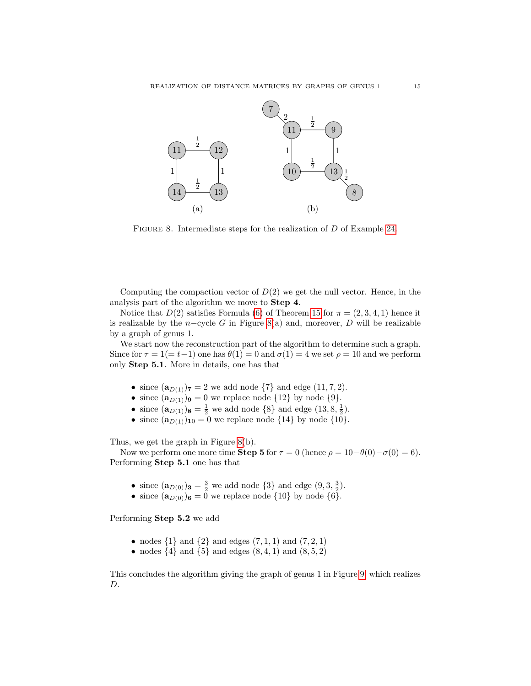

<span id="page-14-0"></span>FIGURE 8. Intermediate steps for the realization of D of Example [24.](#page-12-0)

Computing the compaction vector of  $D(2)$  we get the null vector. Hence, in the analysis part of the algorithm we move to Step 4.

Notice that  $D(2)$  satisfies Formula [\(6\)](#page-7-1) of Theorem [15](#page-7-0) for  $\pi = (2, 3, 4, 1)$  hence it is realizable by the n-cycle G in Figure [8\(](#page-14-0)a) and, moreover, D will be realizable by a graph of genus 1.

We start now the reconstruction part of the algorithm to determine such a graph. Since for  $\tau = 1 (= t-1)$  one has  $\theta(1) = 0$  and  $\sigma(1) = 4$  we set  $\rho = 10$  and we perform only Step 5.1. More in details, one has that

- since  $(\mathbf{a}_{D(1)})_7 = 2$  we add node  $\{7\}$  and edge  $(11, 7, 2)$ .
- since  $(\mathbf{a}_{D(1)})_9 = 0$  we replace node  $\{12\}$  by node  $\{9\}.$
- since  $(\mathbf{a}_{D(1)})_{\mathbf{8}} = \frac{1}{2}$  we add node  $\{8\}$  and edge  $(13, 8, \frac{1}{2})$ .
- since  $(a_{D(1)})_{10} = 0$  we replace node  $\{14\}$  by node  $\{10\}.$

Thus, we get the graph in Figure [8\(](#page-14-0)b).

Now we perform one more time **Step 5** for  $\tau = 0$  (hence  $\rho = 10-\theta(0)-\sigma(0) = 6$ ). Performing Step 5.1 one has that

- since  $(\mathbf{a}_{D(0)})_3 = \frac{3}{2}$  we add node  $\{3\}$  and edge  $(9, 3, \frac{3}{2})$ .
- since  $(\mathbf{a}_{D(0)})_6 = 0$  we replace node  $\{10\}$  by node  $\{6\}.$

Performing Step 5.2 we add

- nodes  $\{1\}$  and  $\{2\}$  and edges  $(7, 1, 1)$  and  $(7, 2, 1)$
- nodes  $\{4\}$  and  $\{5\}$  and edges  $(8, 4, 1)$  and  $(8, 5, 2)$

This concludes the algorithm giving the graph of genus 1 in Figure [9,](#page-15-0) which realizes D.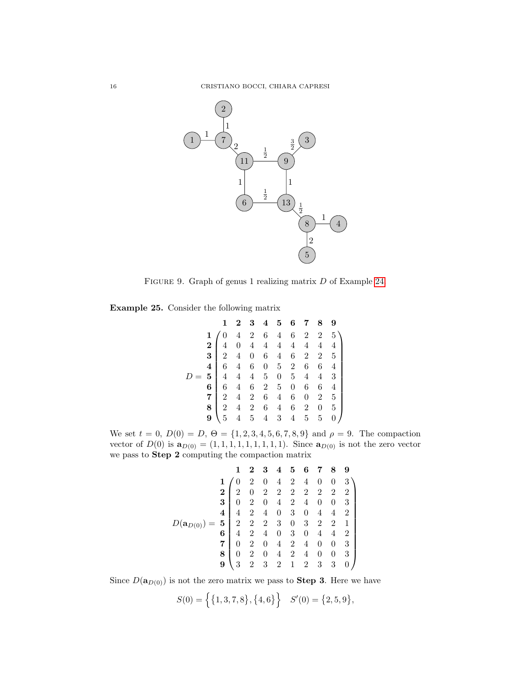

Figure 9. Graph of genus 1 realizing matrix D of Example [24.](#page-12-0)

<span id="page-15-1"></span>Example 25. Consider the following matrix

<span id="page-15-0"></span>

|  |  | $\mathbf{2}$ |  | 3 4 5 6 7 8 9 |  |                                                                                                                                                                                                                                                                                                                                                  |
|--|--|--------------|--|---------------|--|--------------------------------------------------------------------------------------------------------------------------------------------------------------------------------------------------------------------------------------------------------------------------------------------------------------------------------------------------|
|  |  |              |  |               |  | $\begin{array}{c cccccc} \textbf{1} & 0 & 4 & 2 & 6 & 4 & 6 & 2 & 2 & 5 \\ \textbf{2} & 4 & 0 & 4 & 4 & 4 & 4 & 4 & 4 & 4 \\ \textbf{3} & 2 & 4 & 0 & 6 & 4 & 6 & 2 & 2 & 5 \\ \textbf{4} & 6 & 4 & 6 & 0 & 5 & 2 & 6 & 6 & 4 \\ \textbf{5} & 4 & 4 & 4 & 5 & 0 & 5 & 4 & 4 & 3 \\ \textbf{6} & 6 & 4 & 6 & 2 & 5 & 0 & 6 & 6 & 4 \\ \textbf{7}$ |
|  |  |              |  |               |  |                                                                                                                                                                                                                                                                                                                                                  |
|  |  |              |  |               |  |                                                                                                                                                                                                                                                                                                                                                  |
|  |  |              |  |               |  |                                                                                                                                                                                                                                                                                                                                                  |
|  |  |              |  |               |  |                                                                                                                                                                                                                                                                                                                                                  |
|  |  |              |  |               |  |                                                                                                                                                                                                                                                                                                                                                  |
|  |  |              |  |               |  | $\begin{array}{c cccccc} 7 & 2 & 4 & 2 & 6 & 4 & 6 & 0 & 2 & 5 \\ 8 & 2 & 4 & 2 & 6 & 4 & 6 & 2 & 0 & 5 \\ 9 & 5 & 4 & 5 & 4 & 3 & 4 & 5 & 5 & 0 \end{array}$                                                                                                                                                                                    |
|  |  |              |  |               |  |                                                                                                                                                                                                                                                                                                                                                  |
|  |  |              |  |               |  |                                                                                                                                                                                                                                                                                                                                                  |

We set  $t = 0$ ,  $D(0) = D$ ,  $\Theta = \{1, 2, 3, 4, 5, 6, 7, 8, 9\}$  and  $\rho = 9$ . The compaction vector of  $D(0)$  is  $\mathbf{a}_{D(0)} = (1, 1, 1, 1, 1, 1, 1, 1, 1)$ . Since  $\mathbf{a}_{D(0)}$  is not the zero vector we pass to Step 2 computing the compaction matrix

$$
D(\mathbf{a}_{D(0)}) = \begin{bmatrix} 1 & 2 & 3 & 4 & 5 & 6 & 7 & 8 & 9 \\ 1 & 0 & 2 & 0 & 4 & 2 & 4 & 0 & 0 & 3 \\ 2 & 0 & 2 & 2 & 2 & 2 & 2 & 2 & 2 \\ 3 & 0 & 2 & 0 & 4 & 2 & 4 & 0 & 0 & 3 \\ 4 & 4 & 2 & 4 & 0 & 3 & 0 & 4 & 4 & 2 \\ 4 & 2 & 4 & 0 & 3 & 0 & 4 & 4 & 2 \\ 6 & 4 & 2 & 4 & 0 & 3 & 0 & 4 & 4 & 2 \\ 7 & 0 & 2 & 0 & 4 & 2 & 4 & 0 & 0 & 3 \\ 8 & 0 & 2 & 0 & 4 & 2 & 4 & 0 & 0 & 3 \\ 9 & 3 & 2 & 3 & 2 & 1 & 2 & 3 & 3 & 0 \end{bmatrix}
$$

Since  $D(\mathbf{a}_{D(0)})$  is not the zero matrix we pass to **Step 3**. Here we have

$$
S(0) = \left\{ \{1, 3, 7, 8\}, \{4, 6\} \right\} \quad S'(0) = \{2, 5, 9\},
$$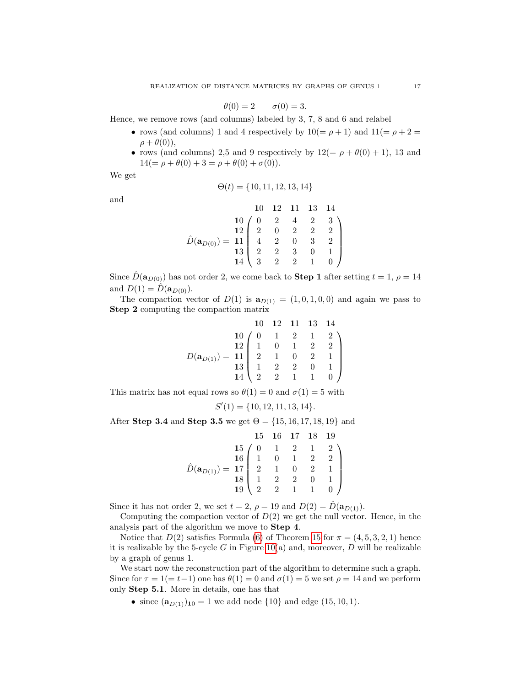$$
\theta(0) = 2 \qquad \sigma(0) = 3.
$$

Hence, we remove rows (and columns) labeled by 3, 7, 8 and 6 and relabel

- rows (and columns) 1 and 4 respectively by  $10(=\rho+1)$  and  $11(=\rho+2=$  $\rho + \theta(0)$ ),
- rows (and columns) 2,5 and 9 respectively by  $12(=\rho + \theta(0) + 1)$ , 13 and  $14(=\rho + \theta(0) + 3 = \rho + \theta(0) + \sigma(0)).$

We get

$$
\Theta(t) = \{10, 11, 12, 13, 14\}
$$

and

$$
\hat{D}(\mathbf{a}_{D(0)}) = \begin{pmatrix} 10 & 12 & 11 & 13 & 14 \\ 10 & 0 & 2 & 4 & 2 & 3 \\ 12 & 2 & 0 & 2 & 2 & 2 \\ 13 & 4 & 2 & 0 & 3 & 2 \\ 13 & 2 & 2 & 3 & 0 & 1 \\ 14 & 3 & 2 & 2 & 1 & 0 \end{pmatrix}
$$

Since  $\hat{D}(\mathbf{a}_{D(0)})$  has not order 2, we come back to **Step 1** after setting  $t = 1$ ,  $\rho = 14$ and  $D(1) = D(a_{D(0)})$ .

The compaction vector of  $D(1)$  is  $\mathbf{a}_{D(1)} = (1, 0, 1, 0, 0)$  and again we pass to Step 2 computing the compaction matrix

$$
D(\mathbf{a}_{D(1)}) = \begin{bmatrix} 10 & 12 & 11 & 13 & 14 \\ 10 & 0 & 1 & 2 & 1 & 2 \\ 12 & 1 & 0 & 1 & 2 & 2 \\ 2 & 1 & 0 & 2 & 1 & 1 \\ 13 & 1 & 2 & 2 & 0 & 1 \\ 14 & 2 & 2 & 1 & 1 & 0 \end{bmatrix}
$$

This matrix has not equal rows so  $\theta(1) = 0$  and  $\sigma(1) = 5$  with

$$
S'(1) = \{10, 12, 11, 13, 14\}.
$$

After Step 3.4 and Step 3.5 we get  $\Theta = \{15, 16, 17, 18, 19\}$  and

$$
\hat{D}(\mathbf{a}_{D(1)}) = \begin{bmatrix} & 15 & 16 & 17 & 18 & 19 \\ 15 & 0 & 1 & 2 & 1 & 2 \\ 16 & 1 & 0 & 1 & 2 & 2 \\ 1 & 0 & 1 & 2 & 2 & 1 \\ 18 & 1 & 2 & 2 & 0 & 1 \\ 19 & 2 & 2 & 1 & 1 & 0 \end{bmatrix}
$$

Since it has not order 2, we set  $t = 2$ ,  $\rho = 19$  and  $D(2) = D(\mathbf{a}_{D(1)})$ .

Computing the compaction vector of  $D(2)$  we get the null vector. Hence, in the analysis part of the algorithm we move to Step 4.

Notice that  $D(2)$  satisfies Formula [\(6\)](#page-7-1) of Theorem [15](#page-7-0) for  $\pi = (4, 5, 3, 2, 1)$  hence it is realizable by the 5-cycle  $G$  in Figure [10\(](#page-17-0)a) and, moreover,  $D$  will be realizable by a graph of genus 1.

We start now the reconstruction part of the algorithm to determine such a graph. Since for  $\tau = 1 (= t-1)$  one has  $\theta(1) = 0$  and  $\sigma(1) = 5$  we set  $\rho = 14$  and we perform only Step 5.1. More in details, one has that

• since  $(\mathbf{a}_{D(1)})_{10} = 1$  we add node  $\{10\}$  and edge  $(15, 10, 1)$ .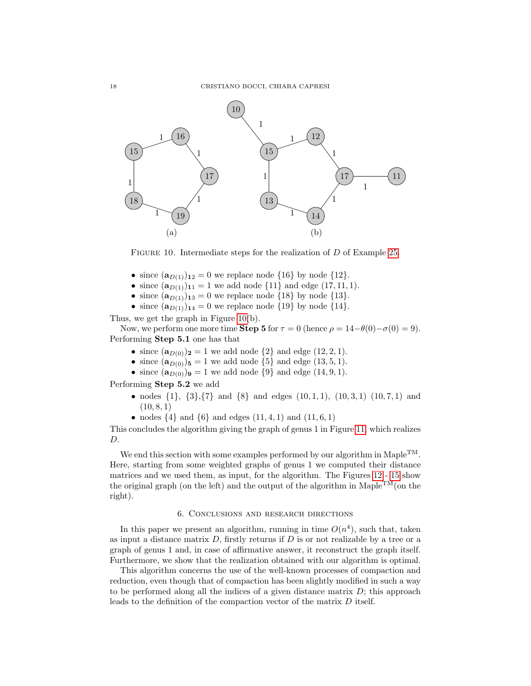

<span id="page-17-0"></span>FIGURE 10. Intermediate steps for the realization of D of Example [25.](#page-15-1)

- since  $(**a**<sub>D(1)</sub>)<sub>12</sub> = 0$  we replace node {16} by node {12}.
- since  $(\mathbf{a}_{D(1)})_{11} = 1$  we add node  $\{11\}$  and edge  $(17, 11, 1)$ .
- since  $(a_{D(1)})_{13} = 0$  we replace node  $\{18\}$  by node  $\{13\}.$
- since  $(**a**<sub>D(1)</sub>)<sub>14</sub> = 0$  we replace node {19} by node {14}.

Thus, we get the graph in Figure [10\(](#page-17-0)b).

Now, we perform one more time **Step 5** for  $\tau = 0$  (hence  $\rho = 14-\theta(0)-\sigma(0) = 9$ ). Performing Step 5.1 one has that

- since  $(**a**<sub>D(0)</sub>)<sub>2</sub> = 1$  we add node  $\{2\}$  and edge  $(12, 2, 1)$ .
- since  $(a_{D(0)})_5 = 1$  we add node  $\{5\}$  and edge  $(13, 5, 1)$ .
- since  $(a_{D(0)})_9 = 1$  we add node  $\{9\}$  and edge  $(14, 9, 1)$ .

Performing Step 5.2 we add

- nodes  $\{1\}$ ,  $\{3\}$ ,  $\{7\}$  and  $\{8\}$  and edges  $(10, 1, 1)$ ,  $(10, 3, 1)$   $(10, 7, 1)$  and  $(10, 8, 1)$
- nodes  $\{4\}$  and  $\{6\}$  and edges  $(11, 4, 1)$  and  $(11, 6, 1)$

This concludes the algorithm giving the graph of genus 1 in Figure [11,](#page-18-0) which realizes D.

We end this section with some examples performed by our algorithm in Maple<sup>TM</sup>. Here, starting from some weighted graphs of genus 1 we computed their distance matrices and we used them, as input, for the algorithm. The Figures [12](#page-18-1) - [15](#page-19-0) show the original graph (on the left) and the output of the algorithm in Maple<sup>TM</sup>(on the right).

## 6. Conclusions and research directions

In this paper we present an algorithm, running in time  $O(n^4)$ , such that, taken as input a distance matrix  $D$ , firstly returns if  $D$  is or not realizable by a tree or a graph of genus 1 and, in case of affirmative answer, it reconstruct the graph itself. Furthermore, we show that the realization obtained with our algorithm is optimal.

This algorithm concerns the use of the well-known processes of compaction and reduction, even though that of compaction has been slightly modified in such a way to be performed along all the indices of a given distance matrix  $D$ ; this approach leads to the definition of the compaction vector of the matrix D itself.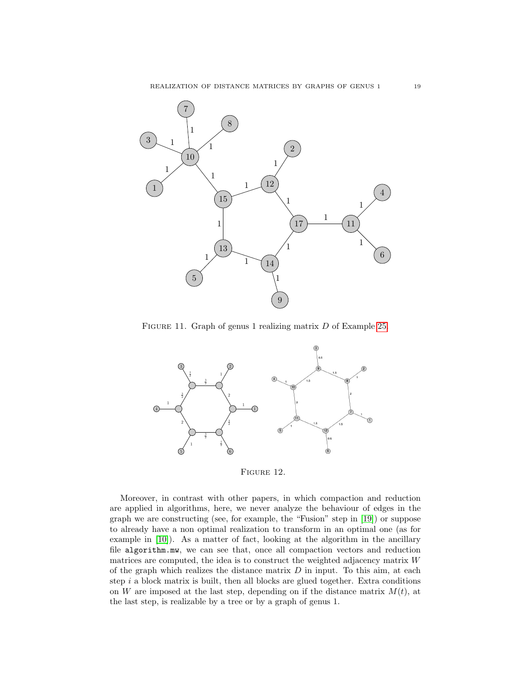

<span id="page-18-0"></span>FIGURE 11. Graph of genus 1 realizing matrix D of Example [25.](#page-15-1)



<span id="page-18-1"></span>FIGURE 12.

Moreover, in contrast with other papers, in which compaction and reduction are applied in algorithms, here, we never analyze the behaviour of edges in the graph we are constructing (see, for example, the "Fusion" step in [\[19\]](#page-21-16)) or suppose to already have a non optimal realization to transform in an optimal one (as for example in [\[10\]](#page-21-12)). As a matter of fact, looking at the algorithm in the ancillary file algorithm.mw, we can see that, once all compaction vectors and reduction matrices are computed, the idea is to construct the weighted adjacency matrix W of the graph which realizes the distance matrix  $D$  in input. To this aim, at each step  $i$  a block matrix is built, then all blocks are glued together. Extra conditions on W are imposed at the last step, depending on if the distance matrix  $M(t)$ , at the last step, is realizable by a tree or by a graph of genus 1.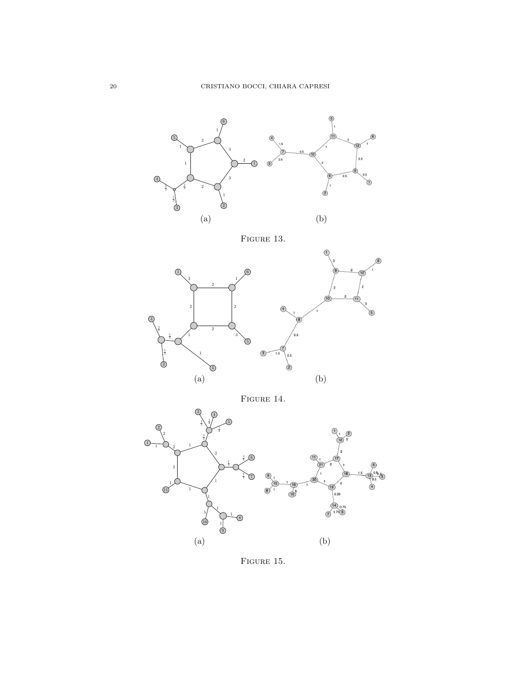



<span id="page-19-0"></span>FIGURE 15.  $\,$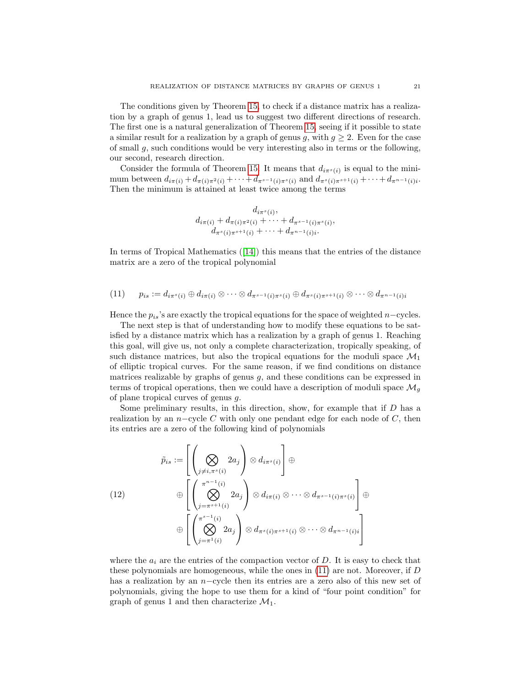The conditions given by Theorem [15,](#page-7-0) to check if a distance matrix has a realization by a graph of genus 1, lead us to suggest two different directions of research. The first one is a natural generalization of Theorem [15,](#page-7-0) seeing if it possible to state a similar result for a realization by a graph of genus g, with  $g \geq 2$ . Even for the case of small  $g$ , such conditions would be very interesting also in terms or the following, our second, research direction.

Consider the formula of Theorem [15.](#page-7-0) It means that  $d_{i\pi^s(i)}$  is equal to the minimum between  $d_{i\pi(i)} + d_{\pi(i)\pi^2(i)} + \cdots + d_{\pi^{s-1}(i)\pi^s(i)}$  and  $d_{\pi^s(i)\pi^{s+1}(i)} + \cdots + d_{\pi^{n-1}(i)i}$ . Then the minimum is attained at least twice among the terms

$$
d_{i\pi(s_i)},
$$
  
\n
$$
d_{i\pi(i)} + d_{\pi(i)\pi^2(i)} + \cdots + d_{\pi^{s-1}(i)\pi^s(i)},
$$
  
\n
$$
d_{\pi^s(i)\pi^{s+1}(i)} + \cdots + d_{\pi^{n-1}(i)i}.
$$

In terms of Tropical Mathematics ([\[14\]](#page-21-18)) this means that the entries of the distance matrix are a zero of the tropical polynomial

<span id="page-20-0"></span>
$$
(11) \qquad p_{is} := d_{i\pi^s(i)} \oplus d_{i\pi(i)} \otimes \cdots \otimes d_{\pi^{s-1}(i)\pi^s(i)} \oplus d_{\pi^s(i)\pi^{s+1}(i)} \otimes \cdots \otimes d_{\pi^{n-1}(i)i}
$$

Hence the  $p_{is}$ 's are exactly the tropical equations for the space of weighted n–cycles.

The next step is that of understanding how to modify these equations to be satisfied by a distance matrix which has a realization by a graph of genus 1. Reaching this goal, will give us, not only a complete characterization, tropically speaking, of such distance matrices, but also the tropical equations for the moduli space  $\mathcal{M}_1$ of elliptic tropical curves. For the same reason, if we find conditions on distance matrices realizable by graphs of genus  $q$ , and these conditions can be expressed in terms of tropical operations, then we could have a description of moduli space  $\mathcal{M}_q$ of plane tropical curves of genus g.

Some preliminary results, in this direction, show, for example that if  $D$  has a realization by an n–cycle C with only one pendant edge for each node of C, then its entries are a zero of the following kind of polynomials

$$
\tilde{p}_{is} := \left[ \left( \bigotimes_{j \neq i, \pi^{s}(i)} 2a_{j} \right) \otimes d_{i\pi^{s}(i)} \right] \oplus
$$
\n
$$
(12) \qquad \bigoplus \left[ \left( \bigotimes_{j=\pi^{s+1}(i)}^{\pi^{n-1}(i)} 2a_{j} \right) \otimes d_{i\pi(i)} \otimes \cdots \otimes d_{\pi^{s-1}(i)\pi^{s}(i)} \right] \oplus
$$
\n
$$
\bigoplus \left[ \left( \bigotimes_{j=\pi^{1}(i)}^{\pi^{s-1}(i)} 2a_{j} \right) \otimes d_{\pi^{s}(i)\pi^{s+1}(i)} \otimes \cdots \otimes d_{\pi^{n-1}(i)i} \right]
$$

where the  $a_i$  are the entries of the compaction vector of D. It is easy to check that these polynomials are homogeneous, while the ones in [\(11\)](#page-20-0) are not. Moreover, if D has a realization by an n−cycle then its entries are a zero also of this new set of polynomials, giving the hope to use them for a kind of "four point condition" for graph of genus 1 and then characterize  $\mathcal{M}_1$ .